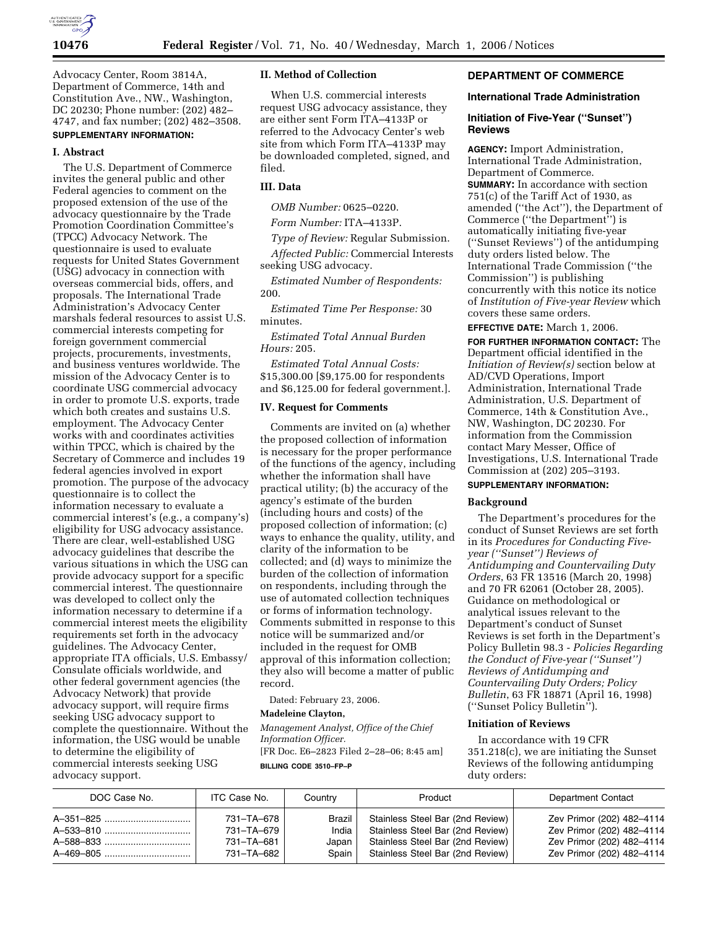

Advocacy Center, Room 3814A, Department of Commerce, 14th and Constitution Ave., NW., Washington, DC 20230; Phone number: (202) 482– 4747, and fax number; (202) 482–3508. **SUPPLEMENTARY INFORMATION:** 

#### **I. Abstract**

The U.S. Department of Commerce invites the general public and other Federal agencies to comment on the proposed extension of the use of the advocacy questionnaire by the Trade Promotion Coordination Committee's (TPCC) Advocacy Network. The questionnaire is used to evaluate requests for United States Government (USG) advocacy in connection with overseas commercial bids, offers, and proposals. The International Trade Administration's Advocacy Center marshals federal resources to assist U.S. commercial interests competing for foreign government commercial projects, procurements, investments, and business ventures worldwide. The mission of the Advocacy Center is to coordinate USG commercial advocacy in order to promote U.S. exports, trade which both creates and sustains U.S. employment. The Advocacy Center works with and coordinates activities within TPCC, which is chaired by the Secretary of Commerce and includes 19 federal agencies involved in export promotion. The purpose of the advocacy questionnaire is to collect the information necessary to evaluate a commercial interest's (e.g., a company's) eligibility for USG advocacy assistance. There are clear, well-established USG advocacy guidelines that describe the various situations in which the USG can provide advocacy support for a specific commercial interest. The questionnaire was developed to collect only the information necessary to determine if a commercial interest meets the eligibility requirements set forth in the advocacy guidelines. The Advocacy Center, appropriate ITA officials, U.S. Embassy/ Consulate officials worldwide, and other federal government agencies (the Advocacy Network) that provide advocacy support, will require firms seeking USG advocacy support to complete the questionnaire. Without the information, the USG would be unable to determine the eligibility of commercial interests seeking USG advocacy support.

## **II. Method of Collection**

When U.S. commercial interests request USG advocacy assistance, they are either sent Form ITA–4133P or referred to the Advocacy Center's web site from which Form ITA–4133P may be downloaded completed, signed, and filed.

## **III. Data**

*OMB Number:* 0625–0220.

*Form Number:* ITA–4133P.

*Type of Review:* Regular Submission. *Affected Public:* Commercial Interests seeking USG advocacy.

*Estimated Number of Respondents:*  200.

*Estimated Time Per Response:* 30 minutes.

*Estimated Total Annual Burden Hours:* 205.

*Estimated Total Annual Costs:*  \$15,300.00 [\$9,175.00 for respondents and \$6,125.00 for federal government.].

#### **IV. Request for Comments**

Comments are invited on (a) whether the proposed collection of information is necessary for the proper performance of the functions of the agency, including whether the information shall have practical utility; (b) the accuracy of the agency's estimate of the burden (including hours and costs) of the proposed collection of information; (c) ways to enhance the quality, utility, and clarity of the information to be collected; and (d) ways to minimize the burden of the collection of information on respondents, including through the use of automated collection techniques or forms of information technology. Comments submitted in response to this notice will be summarized and/or included in the request for OMB approval of this information collection; they also will become a matter of public record.

Dated: February 23, 2006.

#### **Madeleine Clayton,**

*Management Analyst, Office of the Chief Information Officer.*  [FR Doc. E6–2823 Filed 2–28–06; 8:45 am]

**BILLING CODE 3510–FP–P** 

## **DEPARTMENT OF COMMERCE**

#### **International Trade Administration**

## **Initiation of Five-Year (''Sunset'') Reviews**

**AGENCY:** Import Administration, International Trade Administration, Department of Commerce. **SUMMARY:** In accordance with section 751(c) of the Tariff Act of 1930, as amended (''the Act''), the Department of Commerce (''the Department'') is automatically initiating five-year (''Sunset Reviews'') of the antidumping duty orders listed below. The International Trade Commission (''the Commission'') is publishing concurrently with this notice its notice of *Institution of Five-year Review* which covers these same orders.

**EFFECTIVE DATE:** March 1, 2006.

**FOR FURTHER INFORMATION CONTACT:** The Department official identified in the *Initiation of Review(s)* section below at AD/CVD Operations, Import Administration, International Trade Administration, U.S. Department of Commerce, 14th & Constitution Ave., NW, Washington, DC 20230. For information from the Commission contact Mary Messer, Office of Investigations, U.S. International Trade Commission at (202) 205–3193.

## **SUPPLEMENTARY INFORMATION:**

#### **Background**

The Department's procedures for the conduct of Sunset Reviews are set forth in its *Procedures for Conducting Fiveyear (''Sunset'') Reviews of Antidumping and Countervailing Duty Orders*, 63 FR 13516 (March 20, 1998) and 70 FR 62061 (October 28, 2005). Guidance on methodological or analytical issues relevant to the Department's conduct of Sunset Reviews is set forth in the Department's Policy Bulletin 98.3 - *Policies Regarding the Conduct of Five-year (''Sunset'') Reviews of Antidumping and Countervailing Duty Orders; Policy Bulletin*, 63 FR 18871 (April 16, 1998) (''Sunset Policy Bulletin'').

#### **Initiation of Reviews**

In accordance with 19 CFR 351.218(c), we are initiating the Sunset Reviews of the following antidumping duty orders:

| DOC Case No. | ITC Case No. | Country | Product                          | <b>Department Contact</b> |
|--------------|--------------|---------|----------------------------------|---------------------------|
|              | 731-TA-678   | Brazil  | Stainless Steel Bar (2nd Review) | Zev Primor (202) 482-4114 |
|              | 731-TA-679   | India   | Stainless Steel Bar (2nd Review) | Zev Primor (202) 482-4114 |
|              | 731-TA-681   | Japan   | Stainless Steel Bar (2nd Review) | Zev Primor (202) 482-4114 |
|              | 731-TA-682   | Spain   | Stainless Steel Bar (2nd Review) | Zev Primor (202) 482-4114 |